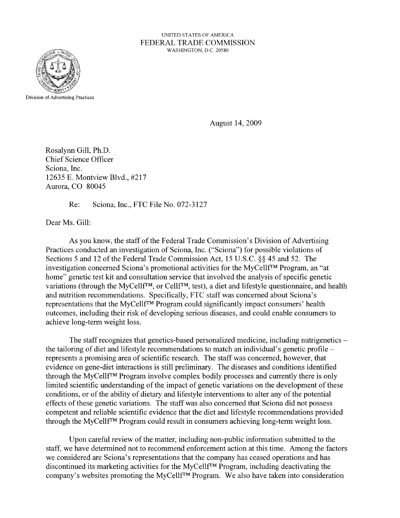UNITED STATES OF AMERlCA FEDERAL TRADE COMMISSION WASHINGTON, D.C. 20580



August 14,2009

Rosalynn Gill, Ph.D. Chief Science Officer Sciona, Inc. 12635 E. Montview Blvd., #217 Aurora, CO 80045

Re: Sciona, Inc., FTC File No. 072-3127

Dear Ms. Gill:

As you know, the staff of the Federal Trade Commission's Division of Advertising Practices conducted an investigation of Sciona, Inc. ("Sciona") for possible violations of Sections 5 and 12 of the Federal Trade Commission Act, 15 U.S.C. §§ 45 and 52. The investigation concerned Sciona's promotional activities for the MyCellfTM Program, an "at home" genetic test kit and consultation service that involved the analysis of specific genetic variations (through the MyCellf<sup>TM</sup>, or Cellf<sup>TM</sup>, test), a diet and lifestyle questionnaire, and health and nutrition recommendations. Specifically, FTC staff was concerned about Sciona's representations that the MyCellfTM Program could significantly impact consumers' health outcomes, including their risk of developing serious diseases, and could enable consumers to achieve long-term weight loss.

The staff recognizes that genetics-based personalized medicine, including nutrigenetics – the tailoring of diet and lifestyle recommendations to match an individual's genetic profile – represents a promising area of scientific research. The staff was concerned, however, that evidence on gene-diet interactions is still preliminary. The diseases and conditions identified through the MyCellfTM Program involve complex bodily processes and currently there is only limited scientific understanding of the impact of genetic variations on the development of these conditions, or of the ability of dietary and lifestyle interventions to alter any of the potential effects of these genetic variations. The staff was also concerned that Sciona did not possess competent and reliable scientific evidence that the diet and lifestyle recommendations provided through the MyCellf<sup>TM</sup> Program could result in consumers achieving long-term weight loss.

Upon careful review of the matter, including non-public information submitted to the staff, we have determined not to recommend enforcement action at this time. Among the factors we considered are Sciona's representations that the company has ceased operations and has discontinued its marketing activities for the MyCellfTM Program, including deactivating the company's websites promoting the MyCellfTM Program. We also have taken into consideration